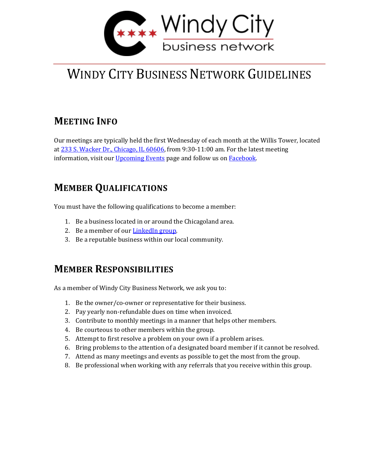

# WINDY CITY BUSINESS NETWORK GUIDELINES

## **MEETING INFO**

Our meetings are typically held the first Wednesday of each month at the Willis Tower, located at [233 S. Wacker Dr., Chicago, IL 60606,](https://www.google.com/maps/place/Willis+Tower/@41.8788804,-87.6381036,17z/data=!3m1!4b1!4m5!3m4!1s0x880e2cbee269fbbb:0x10f6dce5eb88c7d!8m2!3d41.8788764!4d-87.6359149) from 9:30-11:00 am. For the latest meeting information, visit our [Upcoming Events](https://www.windycitybiz.net/events/) page and follow us on [Facebook.](https://www.facebook.com/WindyCityBizNetwork/)

## **MEMBER QUALIFICATIONS**

You must have the following qualifications to become a member:

- 1. Be a business located in or around the Chicagoland area.
- 2. Be a member of our [LinkedIn group.](https://www.linkedin.com/groups/3092178/)
- 3. Be a reputable business within our local community.

#### **MEMBER RESPONSIBILITIES**

As a member of Windy City Business Network, we ask you to:

- 1. Be the owner/co-owner or representative for their business.
- 2. Pay yearly non-refundable dues on time when invoiced.
- 3. Contribute to monthly meetings in a manner that helps other members.
- 4. Be courteous to other members within the group.
- 5. Attempt to first resolve a problem on your own if a problem arises.
- 6. Bring problems to the attention of a designated board member if it cannot be resolved.
- 7. Attend as many meetings and events as possible to get the most from the group.
- 8. Be professional when working with any referrals that you receive within this group.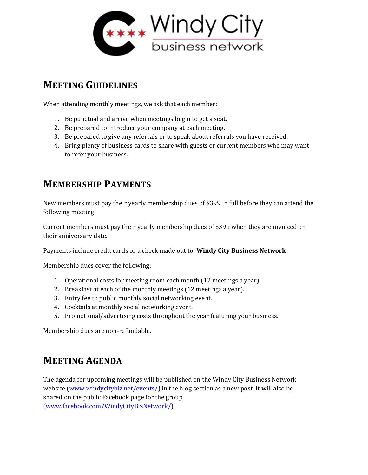

#### **MEETING GUIDELINES**

When attending monthly meetings, we ask that each member:

- 1. Be punctual and arrive when meetings begin to get a seat.
- 2. Be prepared to introduce your company at each meeting.
- 3. Be prepared to give any referrals or to speak about referrals you have received.
- 4. Bring plenty of business cards to share with guests or current members who may want to refer your business.

#### **MEMBERSHIP PAYMENTS**

New members must pay their yearly membership dues of \$399 in full before they can attend the following meeting.

Current members must pay their yearly membership dues of \$399 when they are invoiced on their anniversary date.

Payments include credit cards or a check made out to: **Windy City Business Network**

Membership dues cover the following:

- 1. Operational costs for meeting room each month (12 meetings a year).
- 2. Breakfast at each of the monthly meetings (12 meetings a year).
- 3. Entry fee to public monthly social networking event.
- 4. Cocktails at monthly social networking event.
- 5. Promotional/advertising costs throughout the year featuring your business.

Membership dues are non-refundable.

#### **MEETING AGENDA**

The agenda for upcoming meetings will be published on the Windy City Business Network website [\(www.windycitybiz.net/events/\)](http://www.windycitybiz.net/events/) in the blog section as a new post. It will also be shared on the public Facebook page for the group [\(www.facebook.com/WindyCityBizNetwork/\)](https://www.facebook.com/WindyCityBizNetwork/).